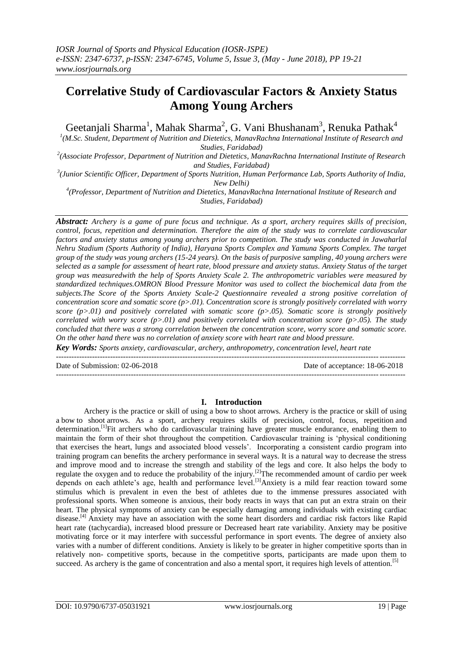# **Correlative Study of Cardiovascular Factors & Anxiety Status Among Young Archers**

Geetanjali Sharma<sup>1</sup>, Mahak Sharma<sup>2</sup>, G. Vani Bhushanam<sup>3</sup>, Renuka Pathak<sup>4</sup>

*1 (M.Sc. Student, Department of Nutrition and Dietetics, ManavRachna International Institute of Research and Studies, Faridabad)*

*2 (Associate Professor, Department of Nutrition and Dietetics, ManavRachna International Institute of Research and Studies, Faridabad)*

*3 (Junior Scientific Officer, Department of Sports Nutrition, Human Performance Lab, Sports Authority of India, New Delhi)*

*4 (Professor, Department of Nutrition and Dietetics, ManavRachna International Institute of Research and Studies, Faridabad)*

*Abstract: Archery is a game of pure focus and technique. As a sport, archery requires skills of precision, control, focus, repetition and determination. Therefore the aim of the study was to correlate cardiovascular*  factors and anxiety status among young archers prior to competition. The study was conducted in Jawaharlal *Nehru Stadium (Sports Authority of India), Haryana Sports Complex and Yamuna Sports Complex. The target group of the study was young archers (15-24 years). On the basis of purposive sampling, 40 young archers were selected as a sample for assessment of heart rate, blood pressure and anxiety status. Anxiety Status of the target group was measuredwith the help of Sports Anxiety Scale 2. The anthropometric variables were measured by standardized techniques.OMRON Blood Pressure Monitor was used to collect the biochemical data from the subjects.The Score of the Sports Anxiety Scale-2 Questionnaire revealed a strong positive correlation of concentration score and somatic score (p>.01). Concentration score is strongly positively correlated with worry score (p>.01) and positively correlated with somatic score (p>.05). Somatic score is strongly positively correlated with worry score (p>.01) and positively correlated with concentration score (p>.05). The study concluded that there was a strong correlation between the concentration score, worry score and somatic score. On the other hand there was no correlation of anxiety score with heart rate and blood pressure.*

*Key Words: Sports anxiety, cardiovascular, archery, anthropometry, concentration level, heart rate*  $-1.1$ 

Date of Submission: 02-06-2018 Date of acceptance: 18-06-2018

## **I. Introduction**

---------------------------------------------------------------------------------------------------------------------------------------

Archery is the practice or skill of using a bow to shoot arrows. Archery is the practice or skill of using a bow to shoot arrows. As a sport, archery requires skills of precision, control, focus, repetition and determination.<sup>[1]</sup>Fit archers who do cardiovascular training have greater muscle endurance, enabling them to maintain the form of their shot throughout the competition. Cardiovascular training is 'physical conditioning that exercises the heart, lungs and associated blood vessels'. Incorporating a consistent cardio program into training program can benefits the archery performance in several ways. It is a natural way to decrease the stress and improve mood and to increase the strength and stability of the legs and core. It also helps the body to regulate the oxygen and to reduce the probability of the injury.<sup>[2]</sup>The recommended amount of cardio per week depends on each athlete's age, health and performance level.<sup>[3]</sup>Anxiety is a mild fear reaction toward some stimulus which is prevalent in even the best of athletes due to the immense pressures associated with professional sports. When someone is anxious, their body reacts in ways that can put an extra strain on their heart. The physical symptoms of anxiety can be especially damaging among individuals with existing cardiac disease.<sup>[4]</sup> Anxiety may have an association with the some heart disorders and cardiac risk factors like Rapid heart rate (tachycardia), increased blood pressure or Decreased heart rate variability. Anxiety may be positive motivating force or it may interfere with successful performance in sport events. The degree of anxiety also varies with a number of different conditions. Anxiety is likely to be greater in higher competitive sports than in relatively non- competitive sports, because in the competitive sports, participants are made upon them to succeed. As archery is the game of concentration and also a mental sport, it requires high levels of attention.<sup>[5]</sup>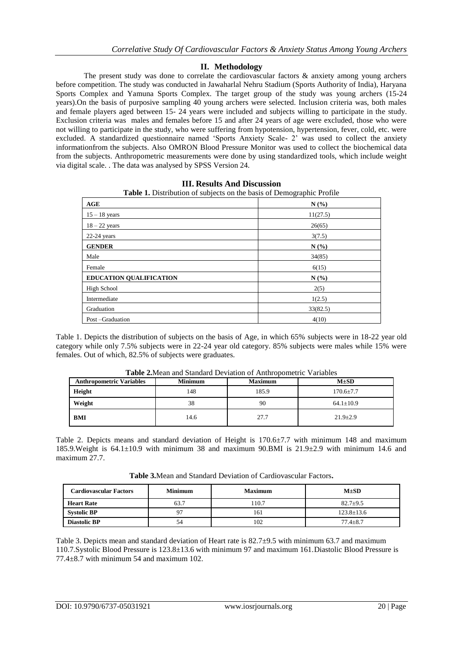## **II. Methodology**

The present study was done to correlate the cardiovascular factors & anxiety among young archers before competition. The study was conducted in Jawaharlal Nehru Stadium (Sports Authority of India), Haryana Sports Complex and Yamuna Sports Complex. The target group of the study was young archers (15-24 years).On the basis of purposive sampling 40 young archers were selected. Inclusion criteria was, both males and female players aged between 15- 24 years were included and subjects willing to participate in the study. Exclusion criteria was males and females before 15 and after 24 years of age were excluded, those who were not willing to participate in the study, who were suffering from hypotension, hypertension, fever, cold, etc. were excluded. A standardized questionnaire named 'Sports Anxiety Scale- 2' was used to collect the anxiety informationfrom the subjects. Also OMRON Blood Pressure Monitor was used to collect the biochemical data from the subjects. Anthropometric measurements were done by using standardized tools, which include weight via digital scale. . The data was analysed by SPSS Version 24.

| <b>Table 1.</b> Distribution of subjects on the basis of Demographic Profile |          |  |  |
|------------------------------------------------------------------------------|----------|--|--|
| AGE                                                                          | N(%)     |  |  |
| $15 - 18$ years                                                              | 11(27.5) |  |  |
| $18 - 22$ years                                                              | 26(65)   |  |  |
| $22-24$ years                                                                | 3(7.5)   |  |  |
| <b>GENDER</b>                                                                | N(%      |  |  |
| Male                                                                         | 34(85)   |  |  |
| Female                                                                       | 6(15)    |  |  |
| <b>EDUCATION QUALIFICATION</b>                                               | N(%      |  |  |
| High School                                                                  | 2(5)     |  |  |
| Intermediate                                                                 | 1(2.5)   |  |  |
| Graduation                                                                   | 33(82.5) |  |  |
| Post-Graduation                                                              | 4(10)    |  |  |

**III. Results And Discussion**

Table 1. Depicts the distribution of subjects on the basis of Age, in which 65% subjects were in 18-22 year old category while only 7.5% subjects were in 22-24 year old category. 85% subjects were males while 15% were females. Out of which, 82.5% of subjects were graduates.

| <b>Anthropometric Variables</b> | <b>Minimum</b> | <b>Maximum</b> | $M\pm SD$       |
|---------------------------------|----------------|----------------|-----------------|
| Height                          | 148            | 185.9          | $170.6 \pm 7.7$ |
| Weight                          | 38             | 90             | $64.1 \pm 10.9$ |
| <b>BMI</b>                      | 14.6           | 27.7           | $21.9 + 2.9$    |

**Table 2.**Mean and Standard Deviation of Anthropometric Variables

Table 2. Depicts means and standard deviation of Height is 170.6±7.7 with minimum 148 and maximum 185.9. Weight is  $64.1 \pm 10.9$  with minimum 38 and maximum 90. BMI is  $21.9 \pm 2.9$  with minimum 14.6 and maximum 27.7.

**Table 3.**Mean and Standard Deviation of Cardiovascular Factors**.**

| <b>Cardiovascular Factors</b> | <b>Minimum</b> | <b>Maximum</b> | $M\pm SD$        |
|-------------------------------|----------------|----------------|------------------|
| <b>Heart Rate</b>             | 63.7           | 110.7          | $82.7 + 9.5$     |
| <b>Systolic BP</b>            | 97             | 161            | $123.8 \pm 13.6$ |
| <b>Diastolic BP</b>           | 54             | 102            | $77.4 \pm 8.7$   |

Table 3. Depicts mean and standard deviation of Heart rate is 82.7±9.5 with minimum 63.7 and maximum 110.7.Systolic Blood Pressure is 123.8±13.6 with minimum 97 and maximum 161.Diastolic Blood Pressure is  $77.4\pm8.7$  with minimum 54 and maximum 102.